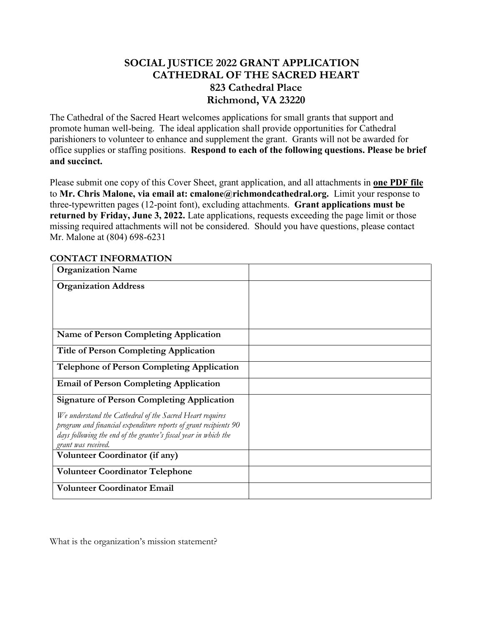## **SOCIAL JUSTICE 2022 GRANT APPLICATION CATHEDRAL OF THE SACRED HEART 823 Cathedral Place Richmond, VA 23220**

The Cathedral of the Sacred Heart welcomes applications for small grants that support and promote human well-being. The ideal application shall provide opportunities for Cathedral parishioners to volunteer to enhance and supplement the grant. Grants will not be awarded for office supplies or staffing positions. **Respond to each of the following questions. Please be brief and succinct.** 

Please submit one copy of this Cover Sheet, grant application, and all attachments in **one PDF file** to **Mr. Chris Malone, via email at: cmalone@richmondcathedral.org.** Limit your response to three-typewritten pages (12-point font), excluding attachments. **Grant applications must be returned by Friday, June 3, 2022.** Late applications, requests exceeding the page limit or those missing required attachments will not be considered. Should you have questions, please contact Mr. Malone at (804) 698-6231

| <b>Organization Name</b>                                                                |  |
|-----------------------------------------------------------------------------------------|--|
| <b>Organization Address</b>                                                             |  |
|                                                                                         |  |
|                                                                                         |  |
| <b>Name of Person Completing Application</b>                                            |  |
| <b>Title of Person Completing Application</b>                                           |  |
| <b>Telephone of Person Completing Application</b>                                       |  |
| <b>Email of Person Completing Application</b>                                           |  |
| <b>Signature of Person Completing Application</b>                                       |  |
| We understand the Cathedral of the Sacred Heart requires                                |  |
| program and financial expenditure reports of grant recipients 90                        |  |
| days following the end of the grantee's fiscal year in which the<br>grant was received. |  |
| <b>Volunteer Coordinator (if any)</b>                                                   |  |
| <b>Volunteer Coordinator Telephone</b>                                                  |  |
| <b>Volunteer Coordinator Email</b>                                                      |  |

## **CONTACT INFORMATION**

What is the organization's mission statement?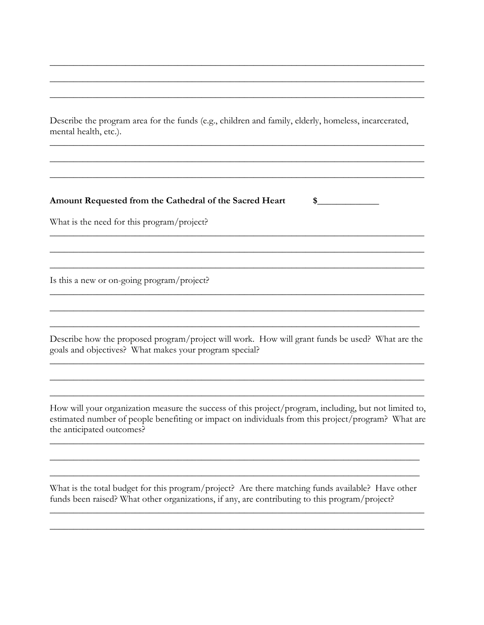Describe the program area for the funds (e.g., children and family, elderly, homeless, incarcerated, mental health, etc.).

## Amount Requested from the Cathedral of the Sacred Heart

 $\sim$ 

What is the need for this program/project?

Is this a new or on-going program/project?

Describe how the proposed program/project will work. How will grant funds be used? What are the goals and objectives? What makes your program special?

How will your organization measure the success of this project/program, including, but not limited to, estimated number of people benefiting or impact on individuals from this project/program? What are the anticipated outcomes?

What is the total budget for this program/project? Are there matching funds available? Have other funds been raised? What other organizations, if any, are contributing to this program/project?